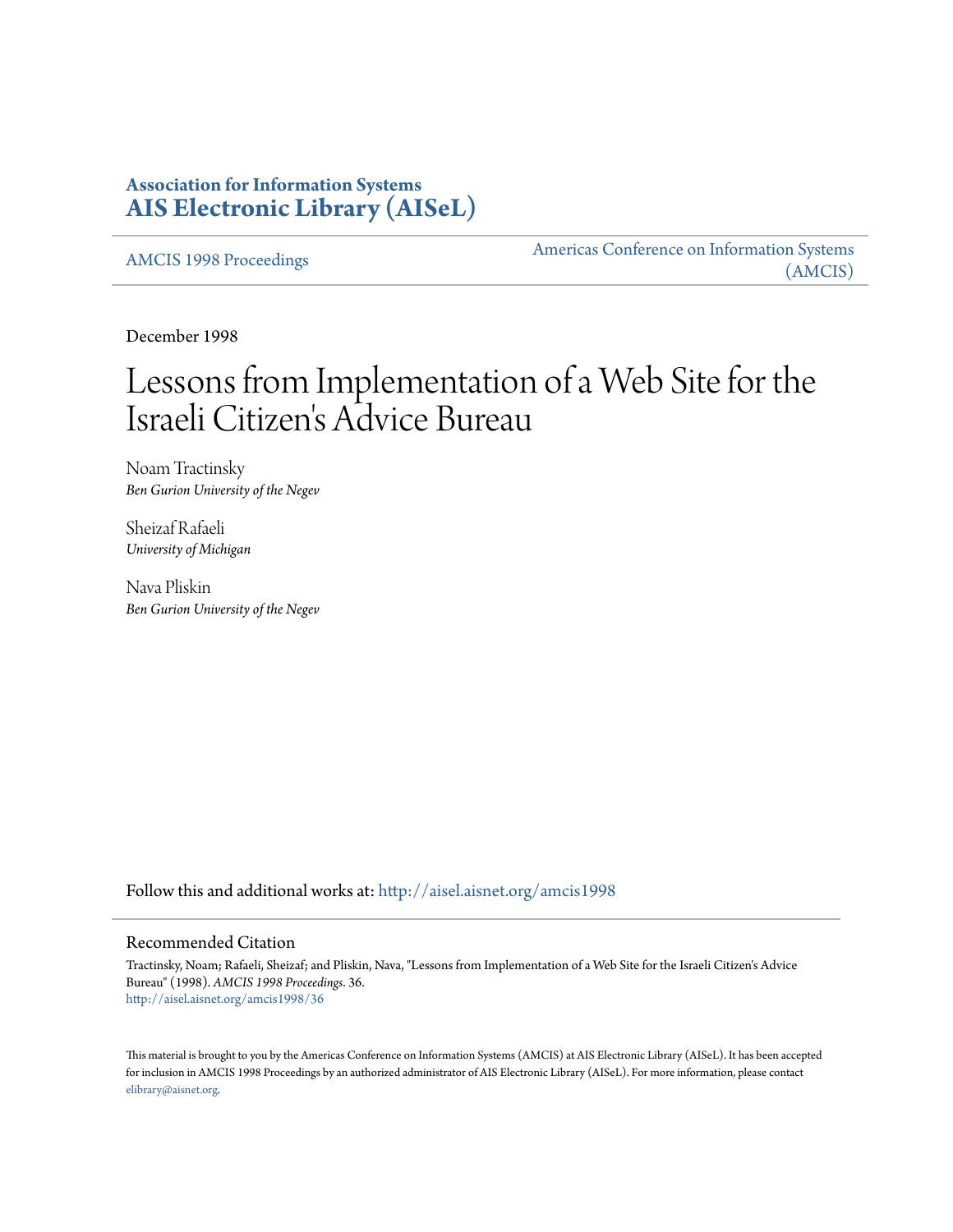# **Association for Information Systems [AIS Electronic Library \(AISeL\)](http://aisel.aisnet.org?utm_source=aisel.aisnet.org%2Famcis1998%2F36&utm_medium=PDF&utm_campaign=PDFCoverPages)**

[AMCIS 1998 Proceedings](http://aisel.aisnet.org/amcis1998?utm_source=aisel.aisnet.org%2Famcis1998%2F36&utm_medium=PDF&utm_campaign=PDFCoverPages)

[Americas Conference on Information Systems](http://aisel.aisnet.org/amcis?utm_source=aisel.aisnet.org%2Famcis1998%2F36&utm_medium=PDF&utm_campaign=PDFCoverPages) [\(AMCIS\)](http://aisel.aisnet.org/amcis?utm_source=aisel.aisnet.org%2Famcis1998%2F36&utm_medium=PDF&utm_campaign=PDFCoverPages)

December 1998

# Lessons from Implementation of a Web Site for the Israeli Citizen 's Advice Bureau

Noam Tractinsky *Ben Gurion University of the Negev*

Sheizaf Rafaeli *University of Michigan*

Nava Pliskin *Ben Gurion University of the Negev*

Follow this and additional works at: [http://aisel.aisnet.org/amcis1998](http://aisel.aisnet.org/amcis1998?utm_source=aisel.aisnet.org%2Famcis1998%2F36&utm_medium=PDF&utm_campaign=PDFCoverPages)

### Recommended Citation

Tractinsky, Noam; Rafaeli, Sheizaf; and Pliskin, Nava, "Lessons from Implementation of a Web Site for the Israeli Citizen's Advice Bureau" (1998). *AMCIS 1998 Proceedings*. 36. [http://aisel.aisnet.org/amcis1998/36](http://aisel.aisnet.org/amcis1998/36?utm_source=aisel.aisnet.org%2Famcis1998%2F36&utm_medium=PDF&utm_campaign=PDFCoverPages)

This material is brought to you by the Americas Conference on Information Systems (AMCIS) at AIS Electronic Library (AISeL). It has been accepted for inclusion in AMCIS 1998 Proceedings by an authorized administrator of AIS Electronic Library (AISeL). For more information, please contact [elibrary@aisnet.org.](mailto:elibrary@aisnet.org%3E)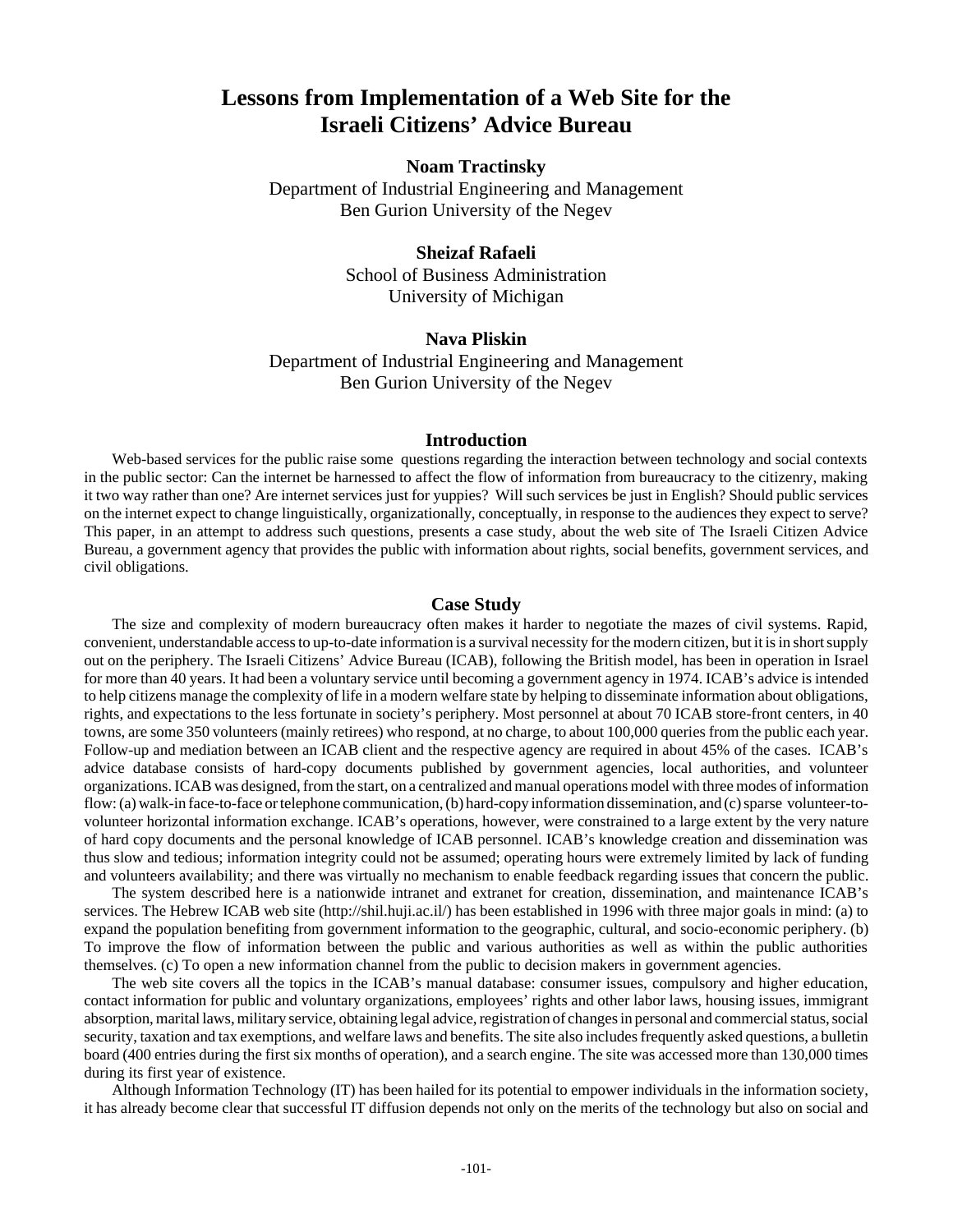# **Lessons from Implementation of a Web Site for the Israeli Citizens' Advice Bureau**

## **Noam Tractinsky**

Department of Industrial Engineering and Management Ben Gurion University of the Negev

# **Sheizaf Rafaeli**

School of Business Administration University of Michigan

## **Nava Pliskin**

Department of Industrial Engineering and Management Ben Gurion University of the Negev

#### **Introduction**

Web-based services for the public raise some questions regarding the interaction between technology and social contexts in the public sector: Can the internet be harnessed to affect the flow of information from bureaucracy to the citizenry, making it two way rather than one? Are internet services just for yuppies? Will such services be just in English? Should public services on the internet expect to change linguistically, organizationally, conceptually, in response to the audiences they expect to serve? This paper, in an attempt to address such questions, presents a case study, about the web site of The Israeli Citizen Advice Bureau, a government agency that provides the public with information about rights, social benefits, government services, and civil obligations.

#### **Case Study**

The size and complexity of modern bureaucracy often makes it harder to negotiate the mazes of civil systems. Rapid, convenient, understandable access to up-to-date information is a survival necessity for the modern citizen, but it is in short supply out on the periphery. The Israeli Citizens' Advice Bureau (ICAB), following the British model, has been in operation in Israel for more than 40 years. It had been a voluntary service until becoming a government agency in 1974. ICAB's advice is intended to help citizens manage the complexity of life in a modern welfare state by helping to disseminate information about obligations, rights, and expectations to the less fortunate in society's periphery. Most personnel at about 70 ICAB store-front centers, in 40 towns, are some 350 volunteers (mainly retirees) who respond, at no charge, to about 100,000 queries from the public each year. Follow-up and mediation between an ICAB client and the respective agency are required in about 45% of the cases. ICAB's advice database consists of hard-copy documents published by government agencies, local authorities, and volunteer organizations. ICAB was designed, from the start, on a centralized and manual operations model with three modes of information flow: (a) walk-in face-to-face or telephone communication, (b) hard-copy information dissemination, and (c) sparse volunteer-tovolunteer horizontal information exchange. ICAB's operations, however, were constrained to a large extent by the very nature of hard copy documents and the personal knowledge of ICAB personnel. ICAB's knowledge creation and dissemination was thus slow and tedious; information integrity could not be assumed; operating hours were extremely limited by lack of funding and volunteers availability; and there was virtually no mechanism to enable feedback regarding issues that concern the public.

The system described here is a nationwide intranet and extranet for creation, dissemination, and maintenance ICAB's services. The Hebrew ICAB web site (http://shil.huji.ac.il/) has been established in 1996 with three major goals in mind: (a) to expand the population benefiting from government information to the geographic, cultural, and socio-economic periphery. (b) To improve the flow of information between the public and various authorities as well as within the public authorities themselves. (c) To open a new information channel from the public to decision makers in government agencies.

The web site covers all the topics in the ICAB's manual database: consumer issues, compulsory and higher education, contact information for public and voluntary organizations, employees' rights and other labor laws, housing issues, immigrant absorption, marital laws, military service, obtaining legal advice, registration of changes in personal and commercial status, social security, taxation and tax exemptions, and welfare laws and benefits. The site also includes frequently asked questions, a bulletin board (400 entries during the first six months of operation), and a search engine. The site was accessed more than 130,000 times during its first year of existence.

Although Information Technology (IT) has been hailed for its potential to empower individuals in the information society, it has already become clear that successful IT diffusion depends not only on the merits of the technology but also on social and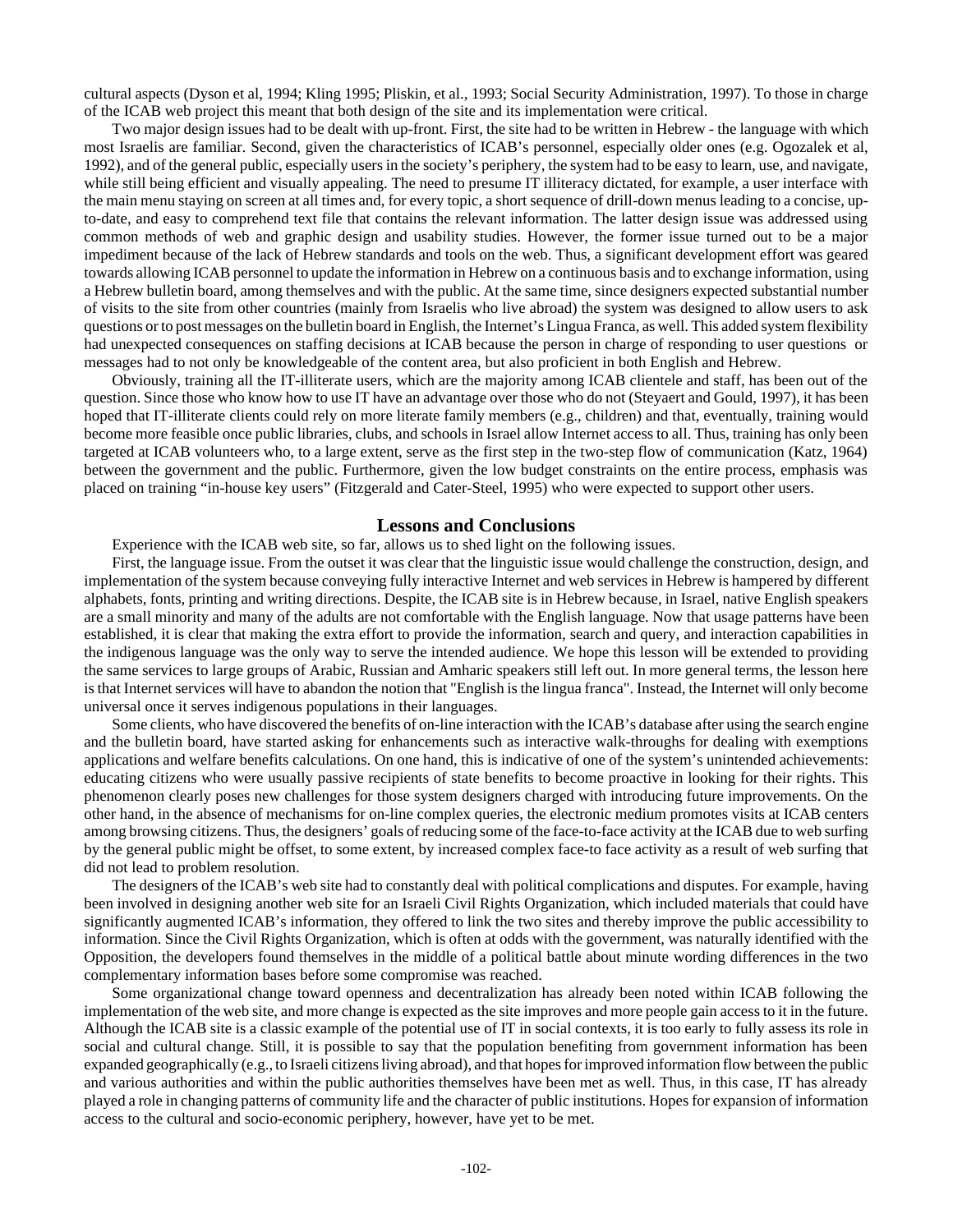cultural aspects (Dyson et al, 1994; Kling 1995; Pliskin, et al., 1993; Social Security Administration, 1997). To those in charge of the ICAB web project this meant that both design of the site and its implementation were critical.

Two major design issues had to be dealt with up-front. First, the site had to be written in Hebrew - the language with which most Israelis are familiar. Second, given the characteristics of ICAB's personnel, especially older ones (e.g. Ogozalek et al, 1992), and of the general public, especially users in the society's periphery, the system had to be easy to learn, use, and navigate, while still being efficient and visually appealing. The need to presume IT illiteracy dictated, for example, a user interface with the main menu staying on screen at all times and, for every topic, a short sequence of drill-down menus leading to a concise, upto-date, and easy to comprehend text file that contains the relevant information. The latter design issue was addressed using common methods of web and graphic design and usability studies. However, the former issue turned out to be a major impediment because of the lack of Hebrew standards and tools on the web. Thus, a significant development effort was geared towards allowing ICAB personnel to update the information in Hebrew on a continuous basis and to exchange information, using a Hebrew bulletin board, among themselves and with the public. At the same time, since designers expected substantial number of visits to the site from other countries (mainly from Israelis who live abroad) the system was designed to allow users to ask questions or to post messages on the bulletin board in English, the Internet's Lingua Franca, as well. This added system flexibility had unexpected consequences on staffing decisions at ICAB because the person in charge of responding to user questions or messages had to not only be knowledgeable of the content area, but also proficient in both English and Hebrew.

Obviously, training all the IT-illiterate users, which are the majority among ICAB clientele and staff, has been out of the question. Since those who know how to use IT have an advantage over those who do not (Steyaert and Gould, 1997), it has been hoped that IT-illiterate clients could rely on more literate family members (e.g., children) and that, eventually, training would become more feasible once public libraries, clubs, and schools in Israel allow Internet access to all. Thus, training has only been targeted at ICAB volunteers who, to a large extent, serve as the first step in the two-step flow of communication (Katz, 1964) between the government and the public. Furthermore, given the low budget constraints on the entire process, emphasis was placed on training "in-house key users" (Fitzgerald and Cater-Steel, 1995) who were expected to support other users.

#### **Lessons and Conclusions**

Experience with the ICAB web site, so far, allows us to shed light on the following issues.

First, the language issue. From the outset it was clear that the linguistic issue would challenge the construction, design, and implementation of the system because conveying fully interactive Internet and web services in Hebrew is hampered by different alphabets, fonts, printing and writing directions. Despite, the ICAB site is in Hebrew because, in Israel, native English speakers are a small minority and many of the adults are not comfortable with the English language. Now that usage patterns have been established, it is clear that making the extra effort to provide the information, search and query, and interaction capabilities in the indigenous language was the only way to serve the intended audience. We hope this lesson will be extended to providing the same services to large groups of Arabic, Russian and Amharic speakers still left out. In more general terms, the lesson here is that Internet services will have to abandon the notion that "English is the lingua franca". Instead, the Internet will only become universal once it serves indigenous populations in their languages.

Some clients, who have discovered the benefits of on-line interaction with the ICAB's database after using the search engine and the bulletin board, have started asking for enhancements such as interactive walk-throughs for dealing with exemptions applications and welfare benefits calculations. On one hand, this is indicative of one of the system's unintended achievements: educating citizens who were usually passive recipients of state benefits to become proactive in looking for their rights. This phenomenon clearly poses new challenges for those system designers charged with introducing future improvements. On the other hand, in the absence of mechanisms for on-line complex queries, the electronic medium promotes visits at ICAB centers among browsing citizens. Thus, the designers' goals of reducing some of the face-to-face activity at the ICAB due to web surfing by the general public might be offset, to some extent, by increased complex face-to face activity as a result of web surfing that did not lead to problem resolution.

The designers of the ICAB's web site had to constantly deal with political complications and disputes. For example, having been involved in designing another web site for an Israeli Civil Rights Organization, which included materials that could have significantly augmented ICAB's information, they offered to link the two sites and thereby improve the public accessibility to information. Since the Civil Rights Organization, which is often at odds with the government, was naturally identified with the Opposition, the developers found themselves in the middle of a political battle about minute wording differences in the two complementary information bases before some compromise was reached.

Some organizational change toward openness and decentralization has already been noted within ICAB following the implementation of the web site, and more change is expected as the site improves and more people gain access to it in the future. Although the ICAB site is a classic example of the potential use of IT in social contexts, it is too early to fully assess its role in social and cultural change. Still, it is possible to say that the population benefiting from government information has been expanded geographically (e.g., to Israeli citizens living abroad), and that hopes for improved information flow between the public and various authorities and within the public authorities themselves have been met as well. Thus, in this case, IT has already played a role in changing patterns of community life and the character of public institutions. Hopes for expansion of information access to the cultural and socio-economic periphery, however, have yet to be met.